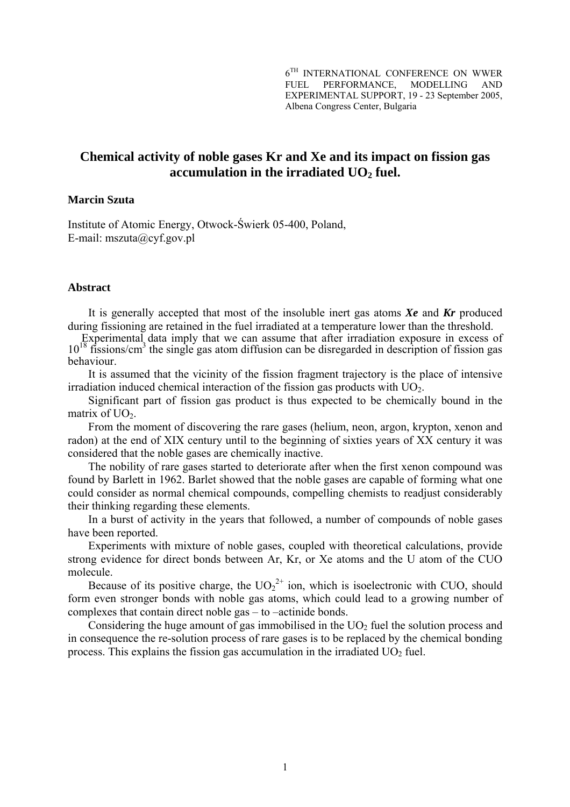$6^{TH}$  INTERNATIONAL CONFERENCE ON WWER FUEL PERFORMANCE, MODELLING AND EXPERIMENTAL SUPPORT, 19 - 23 September 2005, Albena Congress Center, Bulgaria

# **Chemical activity of noble gases Kr and Xe and its impact on fission gas** accumulation in the irradiated UO<sub>2</sub> fuel.

## **Marcin Szuta**

Institute of Atomic Energy, Otwock-Świerk 05-400, Poland, E-mail: mszuta@cyf.gov.pl

### **Abstract**

It is generally accepted that most of the insoluble inert gas atoms *Xe* and *Kr* produced during fissioning are retained in the fuel irradiated at a temperature lower than the threshold.

Experimental data imply that we can assume that after irradiation exposure in excess of  $10^{18}$  fissions/cm<sup>3</sup> the single gas atom diffusion can be disregarded in description of fission gas behaviour.

It is assumed that the vicinity of the fission fragment trajectory is the place of intensive irradiation induced chemical interaction of the fission gas products with  $UO<sub>2</sub>$ .

Significant part of fission gas product is thus expected to be chemically bound in the matrix of  $UO<sub>2</sub>$ .

From the moment of discovering the rare gases (helium, neon, argon, krypton, xenon and radon) at the end of XIX century until to the beginning of sixties years of XX century it was considered that the noble gases are chemically inactive.

The nobility of rare gases started to deteriorate after when the first xenon compound was found by Barlett in 1962. Barlet showed that the noble gases are capable of forming what one could consider as normal chemical compounds, compelling chemists to readjust considerably their thinking regarding these elements.

In a burst of activity in the years that followed, a number of compounds of noble gases have been reported.

Experiments with mixture of noble gases, coupled with theoretical calculations, provide strong evidence for direct bonds between Ar, Kr, or Xe atoms and the U atom of the CUO molecule.

Because of its positive charge, the  $UO_2^{2+}$  ion, which is isoelectronic with CUO, should form even stronger bonds with noble gas atoms, which could lead to a growing number of complexes that contain direct noble gas – to –actinide bonds.

Considering the huge amount of gas immobilised in the  $UO<sub>2</sub>$  fuel the solution process and in consequence the re-solution process of rare gases is to be replaced by the chemical bonding process. This explains the fission gas accumulation in the irradiated  $UO<sub>2</sub>$  fuel.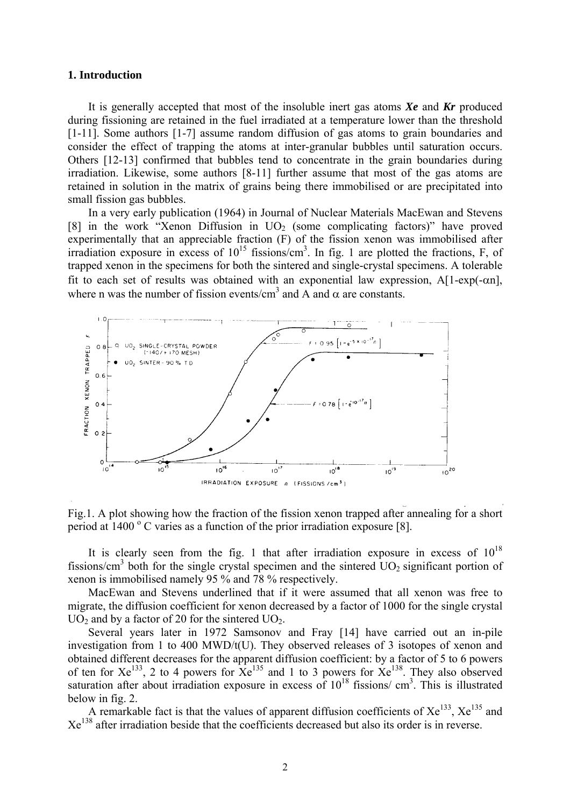### **1. Introduction**

It is generally accepted that most of the insoluble inert gas atoms *Xe* and *Kr* produced during fissioning are retained in the fuel irradiated at a temperature lower than the threshold [1-11]. Some authors [1-7] assume random diffusion of gas atoms to grain boundaries and consider the effect of trapping the atoms at inter-granular bubbles until saturation occurs. Others [12-13] confirmed that bubbles tend to concentrate in the grain boundaries during irradiation. Likewise, some authors [8-11] further assume that most of the gas atoms are retained in solution in the matrix of grains being there immobilised or are precipitated into small fission gas bubbles.

In a very early publication (1964) in Journal of Nuclear Materials MacEwan and Stevens [8] in the work "Xenon Diffusion in  $UO<sub>2</sub>$  (some complicating factors)" have proved experimentally that an appreciable fraction (F) of the fission xenon was immobilised after irradiation exposure in excess of  $10^{15}$  fissions/cm<sup>3</sup>. In fig. 1 are plotted the fractions, F, of trapped xenon in the specimens for both the sintered and single-crystal specimens. A tolerable fit to each set of results was obtained with an exponential law expression,  $A[1-exp(-\alpha n)]$ , where n was the number of fission events/cm<sup>3</sup> and A and  $\alpha$  are constants.



Fig.1. A plot showing how the fraction of the fission xenon trapped after annealing for a short period at  $1400^{\circ}$  C varies as a function of the prior irradiation exposure [8].

It is clearly seen from the fig. 1 that after irradiation exposure in excess of  $10^{18}$ fissions/cm<sup>3</sup> both for the single crystal specimen and the sintered  $UO<sub>2</sub>$  significant portion of xenon is immobilised namely 95 % and 78 % respectively.

MacEwan and Stevens underlined that if it were assumed that all xenon was free to migrate, the diffusion coefficient for xenon decreased by a factor of 1000 for the single crystal  $UO<sub>2</sub>$  and by a factor of 20 for the sintered  $UO<sub>2</sub>$ .

Several years later in 1972 Samsonov and Fray [14] have carried out an in-pile investigation from 1 to 400 MWD/t(U). They observed releases of 3 isotopes of xenon and obtained different decreases for the apparent diffusion coefficient: by a factor of 5 to 6 powers of ten for  $Xe^{133}$ , 2 to 4 powers for  $Xe^{135}$  and 1 to 3 powers for  $Xe^{138}$ . They also observed saturation after about irradiation exposure in excess of  $10^{18}$  fissions/cm<sup>3</sup>. This is illustrated below in fig. 2.

A remarkable fact is that the values of apparent diffusion coefficients of  $Xe^{133}$ ,  $Xe^{135}$  and Xe138 after irradiation beside that the coefficients decreased but also its order is in reverse.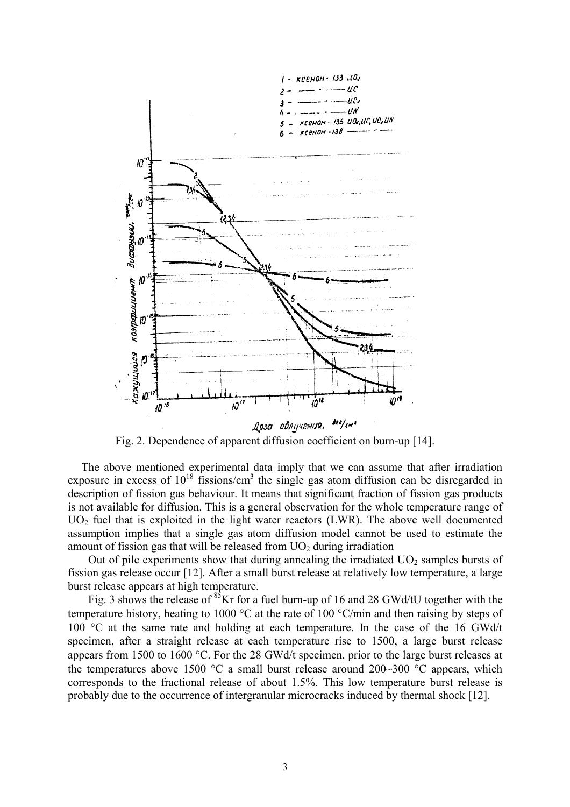

Fig. 2. Dependence of apparent diffusion coefficient on burn-up [14].

The above mentioned experimental data imply that we can assume that after irradiation exposure in excess of  $10^{18}$  fissions/cm<sup>3</sup> the single gas atom diffusion can be disregarded in description of fission gas behaviour. It means that significant fraction of fission gas products is not available for diffusion. This is a general observation for the whole temperature range of  $UO<sub>2</sub>$  fuel that is exploited in the light water reactors (LWR). The above well documented assumption implies that a single gas atom diffusion model cannot be used to estimate the amount of fission gas that will be released from  $UO<sub>2</sub>$  during irradiation

Out of pile experiments show that during annealing the irradiated  $UO<sub>2</sub>$  samples bursts of fission gas release occur [12]. After a small burst release at relatively low temperature, a large burst release appears at high temperature.

Fig. 3 shows the release of  $85$ Kr for a fuel burn-up of 16 and 28 GWd/tU together with the temperature history, heating to 1000 °C at the rate of 100 °C/min and then raising by steps of 100 °C at the same rate and holding at each temperature. In the case of the 16 GWd/t specimen, after a straight release at each temperature rise to 1500, a large burst release appears from 1500 to 1600 °C. For the 28 GWd/t specimen, prior to the large burst releases at the temperatures above 1500  $\degree$ C a small burst release around 200~300  $\degree$ C appears, which corresponds to the fractional release of about 1.5%. This low temperature burst release is probably due to the occurrence of intergranular microcracks induced by thermal shock [12].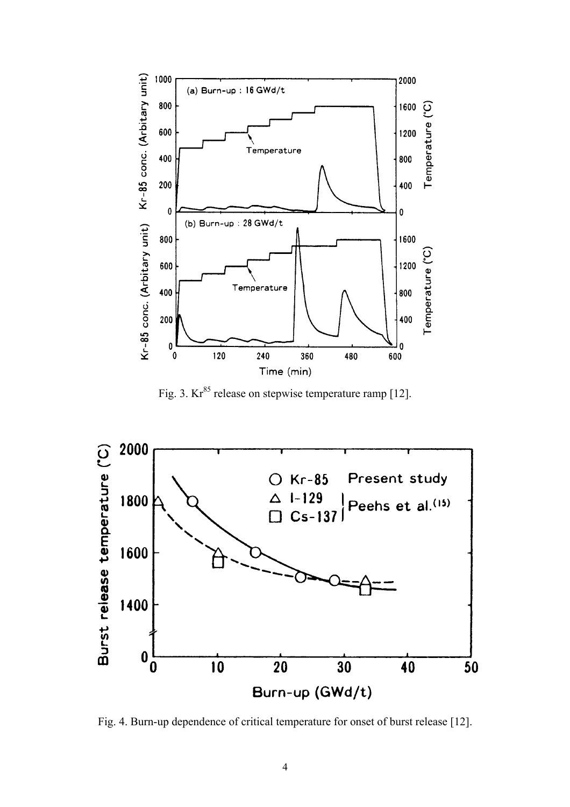

Fig. 3.  $Kr^{85}$  release on stepwise temperature ramp [12].



Fig. 4. Burn-up dependence of critical temperature for onset of burst release [12].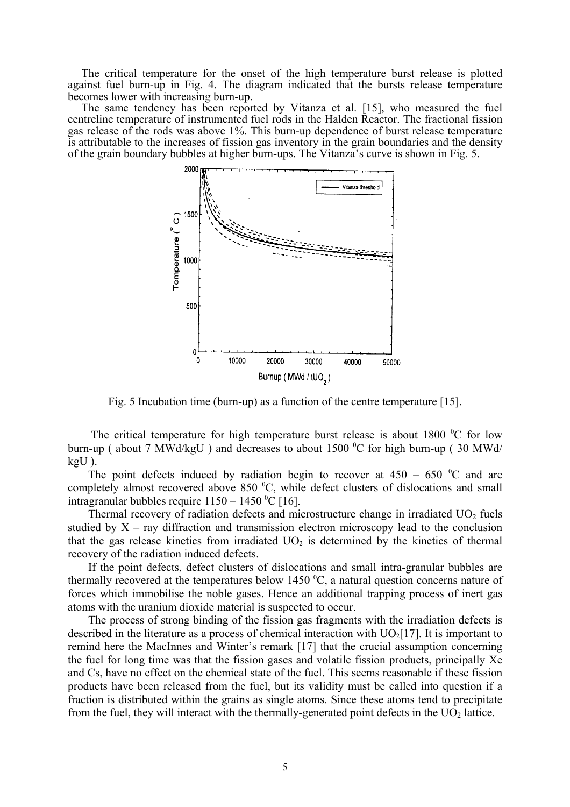The critical temperature for the onset of the high temperature burst release is plotted against fuel burn-up in Fig. 4. The diagram indicated that the bursts release temperature becomes lower with increasing burn-up.

The same tendency has been reported by Vitanza et al. [15], who measured the fuel centreline temperature of instrumented fuel rods in the Halden Reactor. The fractional fission gas release of the rods was above 1%. This burn-up dependence of burst release temperature is attributable to the increases of fission gas inventory in the grain boundaries and the density of the grain boundary bubbles at higher burn-ups. The Vitanza's curve is shown in Fig. 5.



Fig. 5 Incubation time (burn-up) as a function of the centre temperature [15].

The critical temperature for high temperature burst release is about  $1800\degree$ C for low burn-up (about 7 MWd/kgU) and decreases to about  $1500\text{ °C}$  for high burn-up (30 MWd/ kgU ).

The point defects induced by radiation begin to recover at  $450 - 650$  °C and are completely almost recovered above 850  $^0C$ , while defect clusters of dislocations and small intragranular bubbles require  $1150 - 1450$  °C [16].

Thermal recovery of radiation defects and microstructure change in irradiated  $UO<sub>2</sub>$  fuels studied by  $X$  – ray diffraction and transmission electron microscopy lead to the conclusion that the gas release kinetics from irradiated  $UO<sub>2</sub>$  is determined by the kinetics of thermal recovery of the radiation induced defects.

If the point defects, defect clusters of dislocations and small intra-granular bubbles are thermally recovered at the temperatures below 1450  $\mathrm{^0C}$ , a natural question concerns nature of forces which immobilise the noble gases. Hence an additional trapping process of inert gas atoms with the uranium dioxide material is suspected to occur.

The process of strong binding of the fission gas fragments with the irradiation defects is described in the literature as a process of chemical interaction with  $UO<sub>2</sub>[17]$ . It is important to remind here the MacInnes and Winter's remark [17] that the crucial assumption concerning the fuel for long time was that the fission gases and volatile fission products, principally Xe and Cs, have no effect on the chemical state of the fuel. This seems reasonable if these fission products have been released from the fuel, but its validity must be called into question if a fraction is distributed within the grains as single atoms. Since these atoms tend to precipitate from the fuel, they will interact with the thermally-generated point defects in the  $UO<sub>2</sub>$  lattice.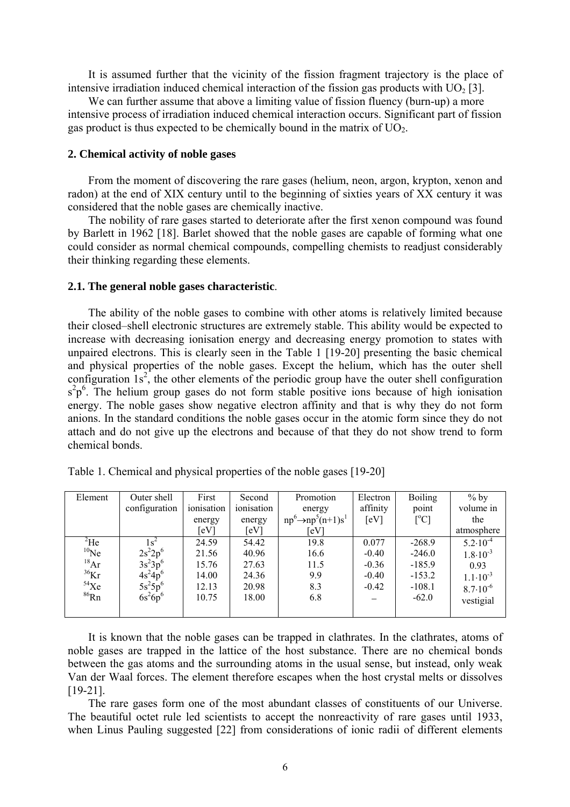It is assumed further that the vicinity of the fission fragment trajectory is the place of intensive irradiation induced chemical interaction of the fission gas products with  $UO<sub>2</sub>$  [3].

We can further assume that above a limiting value of fission fluency (burn-up) a more intensive process of irradiation induced chemical interaction occurs. Significant part of fission gas product is thus expected to be chemically bound in the matrix of  $UO<sub>2</sub>$ .

# **2. Chemical activity of noble gases**

From the moment of discovering the rare gases (helium, neon, argon, krypton, xenon and radon) at the end of XIX century until to the beginning of sixties years of XX century it was considered that the noble gases are chemically inactive.

The nobility of rare gases started to deteriorate after the first xenon compound was found by Barlett in 1962 [18]. Barlet showed that the noble gases are capable of forming what one could consider as normal chemical compounds, compelling chemists to readjust considerably their thinking regarding these elements.

#### **2.1. The general noble gases characteristic**.

The ability of the noble gases to combine with other atoms is relatively limited because their closed–shell electronic structures are extremely stable. This ability would be expected to increase with decreasing ionisation energy and decreasing energy promotion to states with unpaired electrons. This is clearly seen in the Table 1 [19-20] presenting the basic chemical and physical properties of the noble gases. Except the helium, which has the outer shell configuration  $1s^2$ , the other elements of the periodic group have the outer shell configuration  $s^2p^6$ . The helium group gases do not form stable positive ions because of high ionisation energy. The noble gases show negative electron affinity and that is why they do not form anions. In the standard conditions the noble gases occur in the atomic form since they do not attach and do not give up the electrons and because of that they do not show trend to form chemical bonds.

| Element      | Outer shell   | First      | Second     | Promotion                       | Electron | <b>Boiling</b>            | $%$ by              |
|--------------|---------------|------------|------------|---------------------------------|----------|---------------------------|---------------------|
|              | configuration | ionisation | ionisation | energy                          | affinity | point                     | volume in           |
|              |               | energy     | energy     | $np^6 \rightarrow np^5(n+1)s^1$ | [eV]     | $\lceil{^{\circ}C}\rceil$ | the                 |
|              |               | [eV]       | [eV]       | [eV]                            |          |                           | atmosphere          |
| $^{2}$ He    |               | 24.59      | 54.42      | 19.8                            | 0.077    | $-268.9$                  | $5.2 \cdot 10^{-4}$ |
| $10$ Ne      | $2s^22p^6$    | 21.56      | 40.96      | 16.6                            | $-0.40$  | $-246.0$                  | $1.8 \cdot 10^{-3}$ |
| 18Ar         | $3s^23p^6$    | 15.76      | 27.63      | 11.5                            | $-0.36$  | $-185.9$                  | 0.93                |
| $36$ Kr      | $4s^24p^6$    | 14.00      | 24.36      | 9.9                             | $-0.40$  | $-153.2$                  | $1.1 \cdot 10^{-3}$ |
| $54$ Xe      | $5s^25p^6$    | 12.13      | 20.98      | 8.3                             | $-0.42$  | $-108.1$                  | $8.7 \cdot 10^{-6}$ |
| ${}^{86}$ Rn | $6s^26p^6$    | 10.75      | 18.00      | 6.8                             |          | $-62.0$                   | vestigial           |
|              |               |            |            |                                 |          |                           |                     |

| Table 1. Chemical and physical properties of the noble gases [19-20] |  |  |
|----------------------------------------------------------------------|--|--|
|----------------------------------------------------------------------|--|--|

It is known that the noble gases can be trapped in clathrates. In the clathrates, atoms of noble gases are trapped in the lattice of the host substance. There are no chemical bonds between the gas atoms and the surrounding atoms in the usual sense, but instead, only weak Van der Waal forces. The element therefore escapes when the host crystal melts or dissolves [19-21].

The rare gases form one of the most abundant classes of constituents of our Universe. The beautiful octet rule led scientists to accept the nonreactivity of rare gases until 1933, when Linus Pauling suggested [22] from considerations of ionic radii of different elements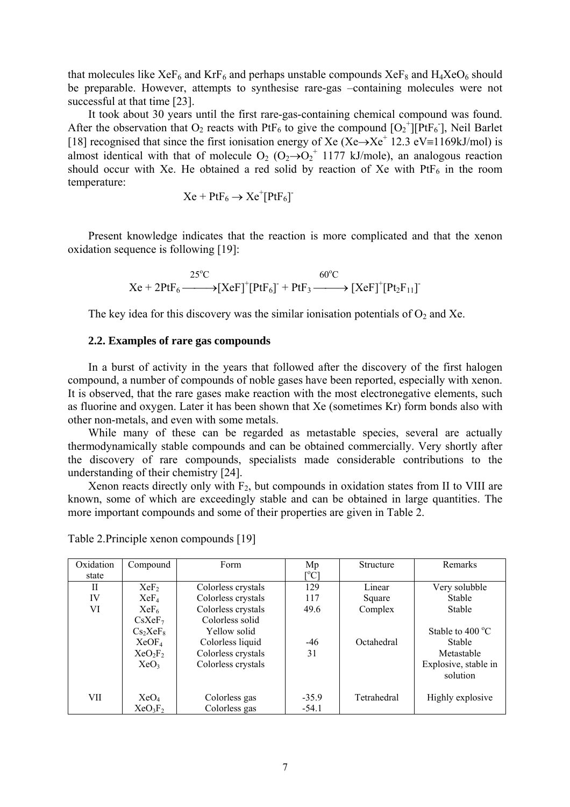that molecules like  $XeF_6$  and  $KrF_6$  and perhaps unstable compounds  $XeF_8$  and  $H_4XeO_6$  should be preparable. However, attempts to synthesise rare-gas –containing molecules were not successful at that time [23].

It took about 30 years until the first rare-gas-containing chemical compound was found. After the observation that O<sub>2</sub> reacts with PtF<sub>6</sub> to give the compound  $[O_2^+]$  PtF<sub>6</sub>], Neil Barlet [18] recognised that since the first ionisation energy of Xe (Xe $\rightarrow$ Xe<sup>+</sup> 12.3 eV≡1169kJ/mol) is almost identical with that of molecule  $O_2$  ( $O_2 \rightarrow O_2^+$  1177 kJ/mole), an analogous reaction should occur with Xe. He obtained a red solid by reaction of Xe with  $PtF_6$  in the room temperature:

$$
Xe + PtF_6 \to Xe^+[PtF_6]
$$

Present knowledge indicates that the reaction is more complicated and that the xenon oxidation sequence is following [19]:

$$
Xe + 2PtF_6 \xrightarrow{25^{\circ}C} [XeF]^+[PtF_6]^{+} + PtF_3 \xrightarrow{60^{\circ}C} [XeF]^+[Pt_2F_{11}]^{-}
$$

The key idea for this discovery was the similar ionisation potentials of  $O_2$  and Xe.

# **2.2. Examples of rare gas compounds**

In a burst of activity in the years that followed after the discovery of the first halogen compound, a number of compounds of noble gases have been reported, especially with xenon. It is observed, that the rare gases make reaction with the most electronegative elements, such as fluorine and oxygen. Later it has been shown that Xe (sometimes Kr) form bonds also with other non-metals, and even with some metals.

While many of these can be regarded as metastable species, several are actually thermodynamically stable compounds and can be obtained commercially. Very shortly after the discovery of rare compounds, specialists made considerable contributions to the understanding of their chemistry [24].

Xenon reacts directly only with  $F_2$ , but compounds in oxidation states from II to VIII are known, some of which are exceedingly stable and can be obtained in large quantities. The more important compounds and some of their properties are given in Table 2.

| Oxidation    | Compound                         | Form               | Mp                           | <b>Structure</b> | Remarks                          |
|--------------|----------------------------------|--------------------|------------------------------|------------------|----------------------------------|
| state        |                                  |                    | $\rm \lceil ^{\circ}C\rceil$ |                  |                                  |
| $\mathbf{I}$ | XeF <sub>2</sub>                 | Colorless crystals | 129                          | Linear           | Very solubble                    |
| IV           | $XeF_4$                          | Colorless crystals | 117                          | Square           | <b>Stable</b>                    |
| VI           | $XeF_6$                          | Colorless crystals | 49.6                         | Complex          | <b>Stable</b>                    |
|              | CsXeF <sub>7</sub>               | Colorless solid    |                              |                  |                                  |
|              | Cs <sub>2</sub> XeF <sub>8</sub> | Yellow solid       |                              |                  | Stable to $400^{\circ}$ C        |
|              | XeOF <sub>4</sub>                | Colorless liquid   | $-46$                        | Octahedral       | <b>Stable</b>                    |
|              | XeO <sub>2</sub> F <sub>2</sub>  | Colorless crystals | 31                           |                  | Metastable                       |
|              | XeO <sub>3</sub>                 | Colorless crystals |                              |                  | Explosive, stable in<br>solution |
| VII          | XeO <sub>4</sub>                 | Colorless gas      | $-35.9$                      | Tetrahedral      | Highly explosive                 |
|              | $XeO_3F_2$                       | Colorless gas      | $-54.1$                      |                  |                                  |

Table 2.Principle xenon compounds [19]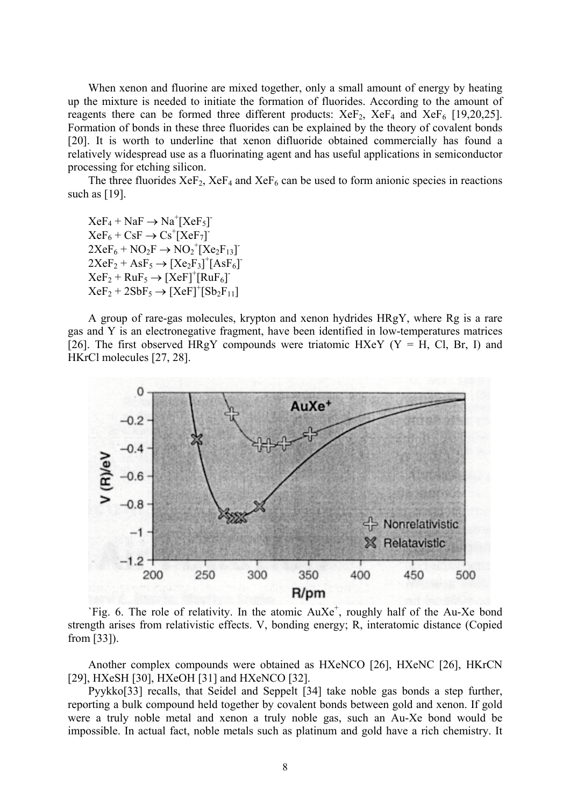When xenon and fluorine are mixed together, only a small amount of energy by heating up the mixture is needed to initiate the formation of fluorides. According to the amount of reagents there can be formed three different products:  $XeF_2$ ,  $XeF_4$  and  $XeF_6$  [19,20,25]. Formation of bonds in these three fluorides can be explained by the theory of covalent bonds [20]. It is worth to underline that xenon difluoride obtained commercially has found a relatively widespread use as a fluorinating agent and has useful applications in semiconductor processing for etching silicon.

The three fluorides  $XeF_2$ ,  $XeF_4$  and  $XeF_6$  can be used to form anionic species in reactions such as [19].

 $XeF_4 + NaF \rightarrow Na^+[XeF_5]$  $XeF_6 + CsF \rightarrow Cs^+[XeF_7]$  $2XeF_6 + NO_2F \rightarrow NO_2^+[Xe_2F_{13}]$  $2XeF_2 + AsF_5 \rightarrow [Xe_2F_3]^+ [AsF_6]$  $XeF_2 + RuF_5 \rightarrow [XeF]^+ [RuF_6]$  $XeF_2 + 2SbF_5 \rightarrow [XeF]^+ [Sb_2F_{11}]$ 

A group of rare-gas molecules, krypton and xenon hydrides HRgY, where Rg is a rare gas and Y is an electronegative fragment, have been identified in low-temperatures matrices [26]. The first observed HRgY compounds were triatomic HXeY ( $Y = H$ , Cl, Br, I) and HKrCl molecules [27, 28].



`Fig. 6. The role of relativity. In the atomic  $AuXe^{+}$ , roughly half of the Au-Xe bond strength arises from relativistic effects. V, bonding energy; R, interatomic distance (Copied from [33]).

Another complex compounds were obtained as HXeNCO [26], HXeNC [26], HKrCN [29], HXeSH [30], HXeOH [31] and HXeNCO [32].

Pyykko[33] recalls, that Seidel and Seppelt [34] take noble gas bonds a step further, reporting a bulk compound held together by covalent bonds between gold and xenon. If gold were a truly noble metal and xenon a truly noble gas, such an Au-Xe bond would be impossible. In actual fact, noble metals such as platinum and gold have a rich chemistry. It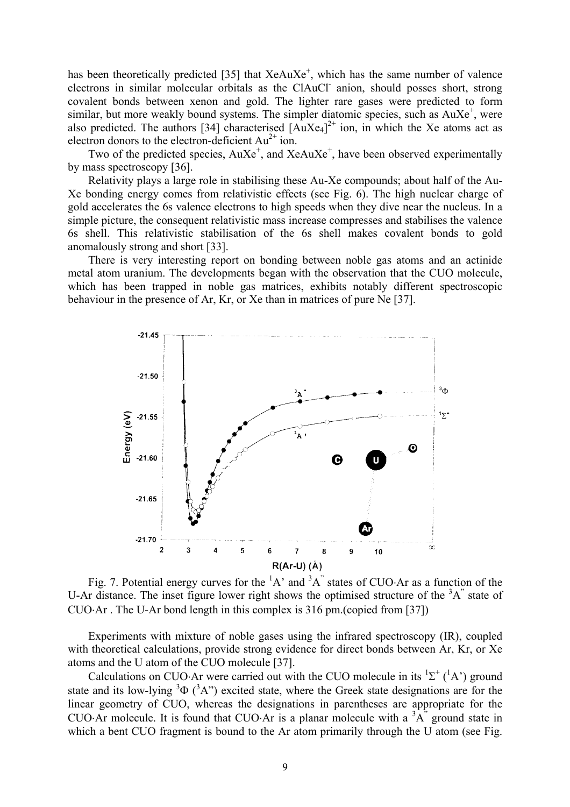has been theoretically predicted [35] that XeAuXe<sup>+</sup>, which has the same number of valence electrons in similar molecular orbitals as the CIAuCl anion, should posses short, strong covalent bonds between xenon and gold. The lighter rare gases were predicted to form similar, but more weakly bound systems. The simpler diatomic species, such as AuXe<sup>+</sup>, were also predicted. The authors [34] characterised  $[AuXe_4]^{2+}$  ion, in which the Xe atoms act as electron donors to the electron-deficient  $Au^{2+}$  ion.

Two of the predicted species,  $AuXe^{+}$ , and  $XeAuXe^{+}$ , have been observed experimentally by mass spectroscopy [36].

Relativity plays a large role in stabilising these Au-Xe compounds; about half of the Au-Xe bonding energy comes from relativistic effects (see Fig. 6). The high nuclear charge of gold accelerates the 6s valence electrons to high speeds when they dive near the nucleus. In a simple picture, the consequent relativistic mass increase compresses and stabilises the valence 6s shell. This relativistic stabilisation of the 6s shell makes covalent bonds to gold anomalously strong and short [33].

There is very interesting report on bonding between noble gas atoms and an actinide metal atom uranium. The developments began with the observation that the CUO molecule, which has been trapped in noble gas matrices, exhibits notably different spectroscopic behaviour in the presence of Ar, Kr, or Xe than in matrices of pure Ne [37].



Fig. 7. Potential energy curves for the  ${}^{1}A$  and  ${}^{3}A$  states of CUO⋅Ar as a function of the U-Ar distance. The inset figure lower right shows the optimised structure of the  ${}^{3}A$ " state of CUO⋅Ar . The U-Ar bond length in this complex is 316 pm.(copied from [37])

Experiments with mixture of noble gases using the infrared spectroscopy (IR), coupled with theoretical calculations, provide strong evidence for direct bonds between Ar, Kr, or Xe atoms and the U atom of the CUO molecule [37].

Calculations on CUO⋅Ar were carried out with the CUO molecule in its  ${}^{1}\Sigma^{+}({}^{1}A')$  ground state and its low-lying  $3\Phi$  ( $3A$ <sup>\*</sup>) excited state, where the Greek state designations are for the linear geometry of CUO, whereas the designations in parentheses are appropriate for the CUO⋅Ar molecule. It is found that CUO⋅Ar is a planar molecule with a  ${}^{3}A$ <sup>"</sup> ground state in which a bent CUO fragment is bound to the Ar atom primarily through the U atom (see Fig.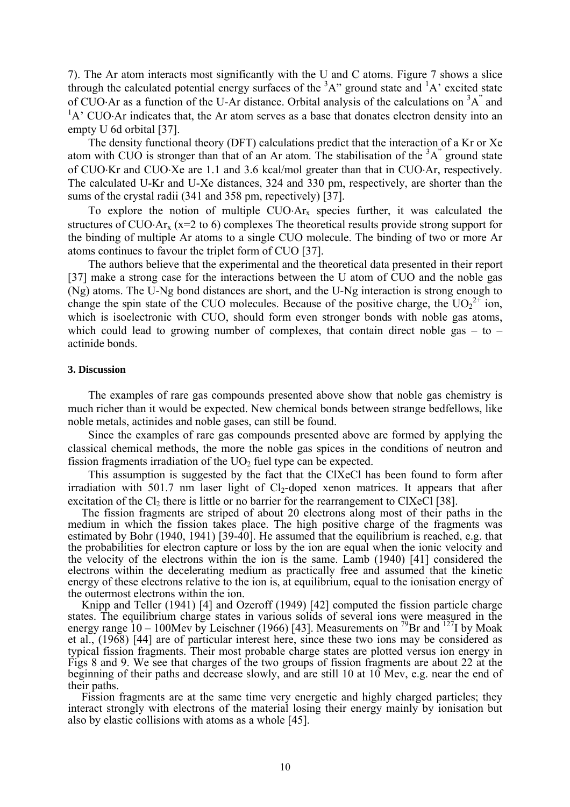7). The Ar atom interacts most significantly with the U and C atoms. Figure 7 shows a slice through the calculated potential energy surfaces of the  ${}^{3}A$ " ground state and  ${}^{1}A$ ' excited state of CUO⋅Ar as a function of the U-Ar distance. Orbital analysis of the calculations on  ${}^{3}A$ <sup>"</sup> and  ${}^{1}A'$  CUO⋅Ar indicates that, the Ar atom serves as a base that donates electron density into an empty U 6d orbital [37].

The density functional theory (DFT) calculations predict that the interaction of a Kr or Xe atom with CUO is stronger than that of an Ar atom. The stabilisation of the  ${}^{3}A$ <sup>"</sup> ground state of CUO⋅Kr and CUO⋅Xe are 1.1 and 3.6 kcal/mol greater than that in CUO⋅Ar, respectively. The calculated U-Kr and U-Xe distances, 324 and 330 pm, respectively, are shorter than the sums of the crystal radii (341 and 358 pm, repectively) [37].

To explore the notion of multiple  $CUO·Ar<sub>x</sub>$  species further, it was calculated the structures of CUO⋅Ar<sub>x</sub> (x=2 to 6) complexes The theoretical results provide strong support for the binding of multiple Ar atoms to a single CUO molecule. The binding of two or more Ar atoms continues to favour the triplet form of CUO [37].

The authors believe that the experimental and the theoretical data presented in their report [37] make a strong case for the interactions between the U atom of CUO and the noble gas (Ng) atoms. The U-Ng bond distances are short, and the U-Ng interaction is strong enough to change the spin state of the CUO molecules. Because of the positive charge, the  $UO_2^{2+}$  ion, which is isoelectronic with CUO, should form even stronger bonds with noble gas atoms, which could lead to growing number of complexes, that contain direct noble gas  $-$  to  $$ actinide bonds.

#### **3. Discussion**

The examples of rare gas compounds presented above show that noble gas chemistry is much richer than it would be expected. New chemical bonds between strange bedfellows, like noble metals, actinides and noble gases, can still be found.

Since the examples of rare gas compounds presented above are formed by applying the classical chemical methods, the more the noble gas spices in the conditions of neutron and fission fragments irradiation of the  $UO<sub>2</sub>$  fuel type can be expected.

This assumption is suggested by the fact that the ClXeCl has been found to form after irradiation with  $501.7$  nm laser light of  $Cl_2$ -doped xenon matrices. It appears that after excitation of the  $Cl_2$  there is little or no barrier for the rearrangement to ClXeCl [38].

The fission fragments are striped of about 20 electrons along most of their paths in the medium in which the fission takes place. The high positive charge of the fragments was estimated by Bohr (1940, 1941) [39-40]. He assumed that the equilibrium is reached, e.g. that the probabilities for electron capture or loss by the ion are equal when the ionic velocity and the velocity of the electrons within the ion is the same. Lamb (1940) [41] considered the electrons within the decelerating medium as practically free and assumed that the kinetic energy of these electrons relative to the ion is, at equilibrium, equal to the ionisation energy of the outermost electrons within the ion.

Knipp and Teller (1941) [4] and Ozeroff (1949) [42] computed the fission particle charge states. The equilibrium charge states in various solids of several ions were measured in the energy range  $10 - 100$ Mev by Leischner (1966) [43]. Measurements on <sup>79</sup>Br and <sup>127</sup>I by Moak et al., (1968) [44] are of particular interest here, since these two ions may be considered as typical fission fragments. Their most probable charge states are plotted versus ion energy in Figs 8 and 9. We see that charges of the two groups of fission fragments are about 22 at the beginning of their paths and decrease slowly, and are still 10 at 10 Mev, e.g. near the end of their paths.

Fission fragments are at the same time very energetic and highly charged particles; they interact strongly with electrons of the material losing their energy mainly by ionisation but also by elastic collisions with atoms as a whole [45].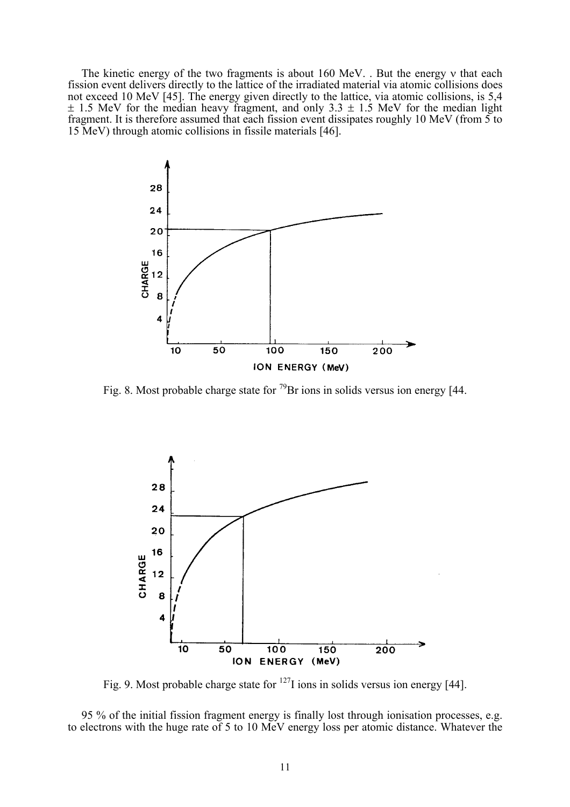The kinetic energy of the two fragments is about 160 MeV. . But the energy ν that each fission event delivers directly to the lattice of the irradiated material via atomic collisions does not exceed 10 MeV [45]. The energy given directly to the lattice, via atomic collisions, is 5,4  $\pm$  1.5 MeV for the median heavy fragment, and only 3.3  $\pm$  1.5 MeV for the median light fragment. It is therefore assumed that each fission event dissipates roughly 10 MeV (from 5 to 15 MeV) through atomic collisions in fissile materials [46].



Fig. 8. Most probable charge state for  $^{79}$ Br ions in solids versus ion energy [44.



Fig. 9. Most probable charge state for  $127$ I ions in solids versus ion energy [44].

95 % of the initial fission fragment energy is finally lost through ionisation processes, e.g. to electrons with the huge rate of 5 to 10 MeV energy loss per atomic distance. Whatever the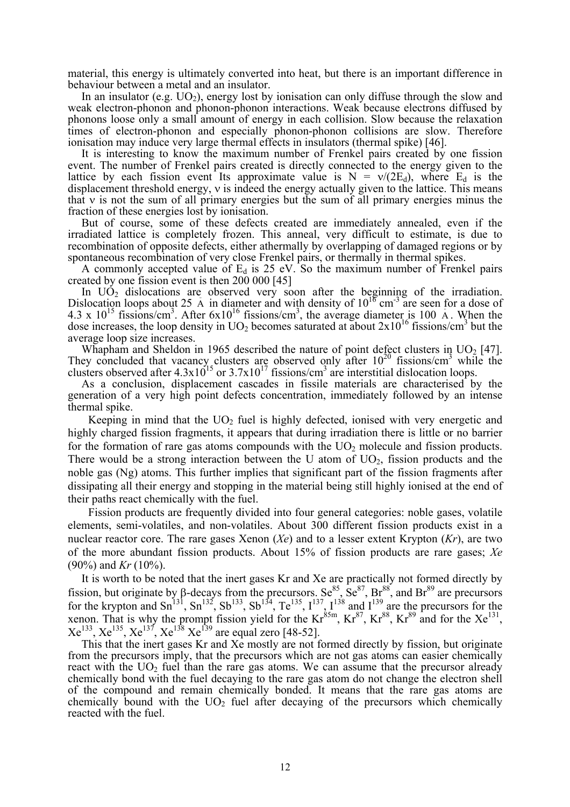material, this energy is ultimately converted into heat, but there is an important difference in behaviour between a metal and an insulator.

In an insulator (e.g.  $UO_2$ ), energy lost by ionisation can only diffuse through the slow and weak electron-phonon and phonon-phonon interactions. Weak because electrons diffused by phonons loose only a small amount of energy in each collision. Slow because the relaxation times of electron-phonon and especially phonon-phonon collisions are slow. Therefore ionisation may induce very large thermal effects in insulators (thermal spike) [46].

It is interesting to know the maximum number of Frenkel pairs created by one fission event. The number of Frenkel pairs created is directly connected to the energy given to the lattice by each fission event Its approximate value is  $N = v/(2E_d)$ , where E<sub>d</sub> is the displacement threshold energy,  $v$  is indeed the energy actually given to the lattice. This means that ν is not the sum of all primary energies but the sum of all primary energies minus the fraction of these energies lost by ionisation.

But of course, some of these defects created are immediately annealed, even if the irradiated lattice is completely frozen. This anneal, very difficult to estimate, is due to recombination of opposite defects, either athermally by overlapping of damaged regions or by spontaneous recombination of very close Frenkel pairs, or thermally in thermal spikes.

A commonly accepted value of  $E_d$  is 25 eV. So the maximum number of Frenkel pairs created by one fission event is then 200 000 [45]

In  $U\dot{O}_2$  dislocations are observed very soon after the beginning of the irradiation. Dislocation loops about 25  $\overline{A}$  in diameter and with density of  $10^{16} \text{ cm}^{-3}$  are seen for a dose of 4.3 x  $10^{15}$  fissions/cm<sup>3</sup>. After  $6x10^{16}$  fissions/cm<sup>3</sup>, the average diameter is 100 A. When the dose increases, the loop density in  $UO<sub>2</sub>$  becomes saturated at about  $2x10^{16}$  fissions/cm<sup>3</sup> but the average loop size increases.

Whapham and Sheldon in 1965 described the nature of point defect clusters in  $UO<sub>2</sub>$  [47]. They concluded that vacancy clusters are observed only after  $10^{20}$  fissions/cm<sup>3</sup> while the clusters observed after  $4.3x10^{15}$  or  $3.7x10^{17}$  fissions/cm<sup>3</sup> are interstitial dislocation loops.

As a conclusion, displacement cascades in fissile materials are characterised by the generation of a very high point defects concentration, immediately followed by an intense thermal spike.

Keeping in mind that the  $UO<sub>2</sub>$  fuel is highly defected, ionised with very energetic and highly charged fission fragments, it appears that during irradiation there is little or no barrier for the formation of rare gas atoms compounds with the  $UO<sub>2</sub>$  molecule and fission products. There would be a strong interaction between the U atom of  $UO<sub>2</sub>$ , fission products and the noble gas (Ng) atoms. This further implies that significant part of the fission fragments after dissipating all their energy and stopping in the material being still highly ionised at the end of their paths react chemically with the fuel.

Fission products are frequently divided into four general categories: noble gases, volatile elements, semi-volatiles, and non-volatiles. About 300 different fission products exist in a nuclear reactor core. The rare gases Xenon (*Xe*) and to a lesser extent Krypton (*Kr*), are two of the more abundant fission products. About 15% of fission products are rare gases; *Xe* (90%) and *Kr* (10%).

It is worth to be noted that the inert gases Kr and Xe are practically not formed directly by fission, but originate by β-decays from the precursors. Se<sup>85</sup>, Se<sup>87</sup>, Br<sup>88</sup>, and Br<sup>89</sup> are precursors for the krypton and Sn<sup>131</sup>, Sn<sup>132</sup>, Sb<sup>133</sup>, Sb<sup>134</sup>, Te<sup>135</sup>, I<sup>137</sup>, I<sup>138</sup> and I<sup>139</sup> are the precursors for the xenon. That is why the prompt fission yield for the  $Kr^{85m}$ ,  $Kr^{87}$ ,  $Kr^{88}$ ,  $Kr^{89}$  and for the  $Xe^{131}$ ,  $Xe^{133}$ ,  $Xe^{135}$ ,  $Xe^{137}$ ,  $Xe^{138}$   $Xe^{139}$  are equal zero [48-52].

This that the inert gases Kr and Xe mostly are not formed directly by fission, but originate from the precursors imply, that the precursors which are not gas atoms can easier chemically react with the  $UO<sub>2</sub>$  fuel than the rare gas atoms. We can assume that the precursor already chemically bond with the fuel decaying to the rare gas atom do not change the electron shell of the compound and remain chemically bonded. It means that the rare gas atoms are chemically bound with the  $UO<sub>2</sub>$  fuel after decaying of the precursors which chemically reacted with the fuel.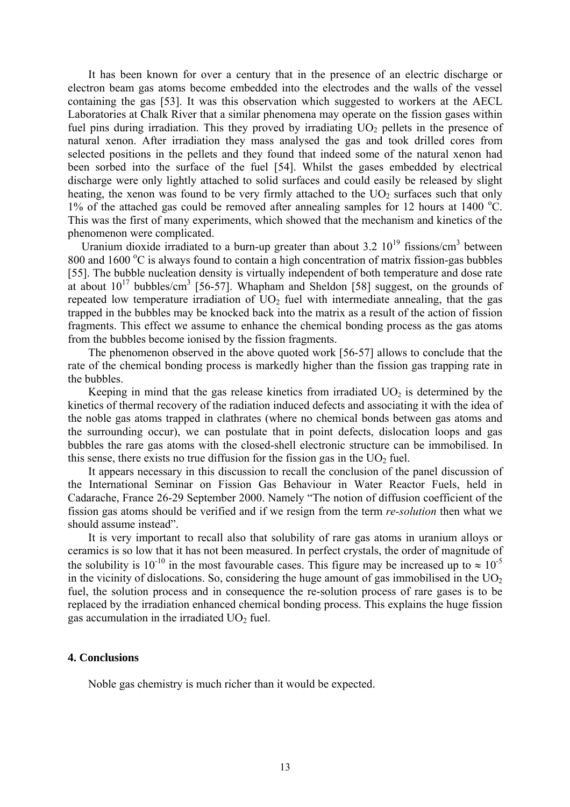It has been known for over a century that in the presence of an electric discharge or electron beam gas atoms become embedded into the electrodes and the walls of the vessel containing the gas [53]. It was this observation which suggested to workers at the AECL Laboratories at Chalk River that a similar phenomena may operate on the fission gases within fuel pins during irradiation. This they proved by irradiating  $UO<sub>2</sub>$  pellets in the presence of natural xenon. After irradiation they mass analysed the gas and took drilled cores from selected positions in the pellets and they found that indeed some of the natural xenon had been sorbed into the surface of the fuel [54]. Whilst the gases embedded by electrical discharge were only lightly attached to solid surfaces and could easily be released by slight heating, the xenon was found to be very firmly attached to the  $UO<sub>2</sub>$  surfaces such that only 1% of the attached gas could be removed after annealing samples for 12 hours at 1400  $^{\circ}$ C. This was the first of many experiments, which showed that the mechanism and kinetics of the phenomenon were complicated.

Uranium dioxide irradiated to a burn-up greater than about 3.2  $10^{19}$  fissions/cm<sup>3</sup> between 800 and 1600 °C is always found to contain a high concentration of matrix fission-gas bubbles [55]. The bubble nucleation density is virtually independent of both temperature and dose rate at about  $10^{17}$  bubbles/cm<sup>3</sup> [56-57]. Whapham and Sheldon [58] suggest, on the grounds of repeated low temperature irradiation of  $UO<sub>2</sub>$  fuel with intermediate annealing, that the gas trapped in the bubbles may be knocked back into the matrix as a result of the action of fission fragments. This effect we assume to enhance the chemical bonding process as the gas atoms from the bubbles become ionised by the fission fragments.

The phenomenon observed in the above quoted work [56-57] allows to conclude that the rate of the chemical bonding process is markedly higher than the fission gas trapping rate in the bubbles.

Keeping in mind that the gas release kinetics from irradiated  $UO<sub>2</sub>$  is determined by the kinetics of thermal recovery of the radiation induced defects and associating it with the idea of the noble gas atoms trapped in clathrates (where no chemical bonds between gas atoms and the surrounding occur), we can postulate that in point defects, dislocation loops and gas bubbles the rare gas atoms with the closed-shell electronic structure can be immobilised. In this sense, there exists no true diffusion for the fission gas in the  $UO<sub>2</sub>$  fuel.

It appears necessary in this discussion to recall the conclusion of the panel discussion of the International Seminar on Fission Gas Behaviour in Water Reactor Fuels, held in Cadarache, France 26-29 September 2000. Namely "The notion of diffusion coefficient of the fission gas atoms should be verified and if we resign from the term *re-solution* then what we should assume instead".

It is very important to recall also that solubility of rare gas atoms in uranium alloys or ceramics is so low that it has not been measured. In perfect crystals, the order of magnitude of the solubility is 10<sup>-10</sup> in the most favourable cases. This figure may be increased up to  $\approx 10^{-5}$ in the vicinity of dislocations. So, considering the huge amount of gas immobilised in the  $UO<sub>2</sub>$ fuel, the solution process and in consequence the re-solution process of rare gases is to be replaced by the irradiation enhanced chemical bonding process. This explains the huge fission gas accumulation in the irradiated  $UO<sub>2</sub>$  fuel.

#### **4. Conclusions**

Noble gas chemistry is much richer than it would be expected.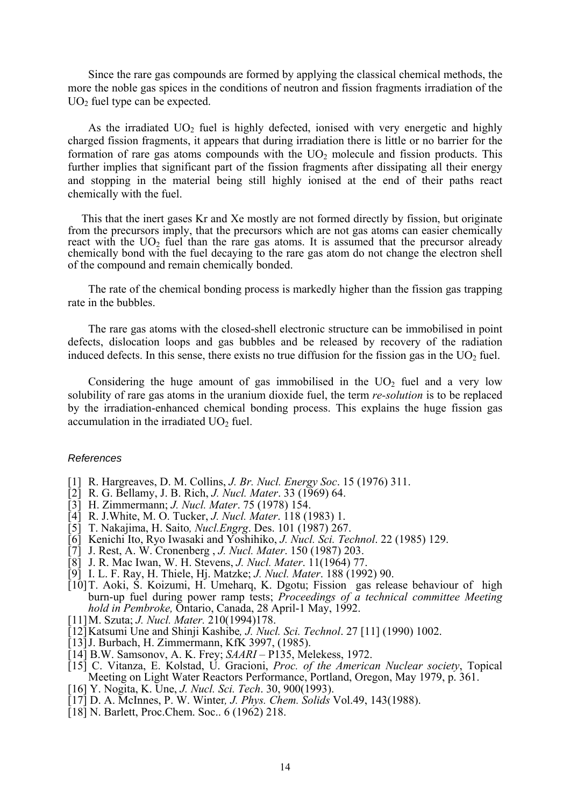Since the rare gas compounds are formed by applying the classical chemical methods, the more the noble gas spices in the conditions of neutron and fission fragments irradiation of the  $UO<sub>2</sub>$  fuel type can be expected.

As the irradiated  $UO<sub>2</sub>$  fuel is highly defected, ionised with very energetic and highly charged fission fragments, it appears that during irradiation there is little or no barrier for the formation of rare gas atoms compounds with the  $UO<sub>2</sub>$  molecule and fission products. This further implies that significant part of the fission fragments after dissipating all their energy and stopping in the material being still highly ionised at the end of their paths react chemically with the fuel.

This that the inert gases Kr and Xe mostly are not formed directly by fission, but originate from the precursors imply, that the precursors which are not gas atoms can easier chemically react with the  $UO<sub>2</sub>$  fuel than the rare gas atoms. It is assumed that the precursor already chemically bond with the fuel decaying to the rare gas atom do not change the electron shell of the compound and remain chemically bonded.

The rate of the chemical bonding process is markedly higher than the fission gas trapping rate in the bubbles.

The rare gas atoms with the closed-shell electronic structure can be immobilised in point defects, dislocation loops and gas bubbles and be released by recovery of the radiation induced defects. In this sense, there exists no true diffusion for the fission gas in the  $UO<sub>2</sub>$  fuel.

Considering the huge amount of gas immobilised in the  $UO<sub>2</sub>$  fuel and a very low solubility of rare gas atoms in the uranium dioxide fuel, the term *re-solution* is to be replaced by the irradiation-enhanced chemical bonding process. This explains the huge fission gas accumulation in the irradiated  $UO<sub>2</sub>$  fuel.

### *References*

- [1] R. Hargreaves, D. M. Collins, *J. Br. Nucl. Energy Soc*. 15 (1976) 311.
- [2] R. G. Bellamy, J. B. Rich, *J. Nucl. Mater*. 33 (1969) 64.
- [3] H. Zimmermann; *J. Nucl. Mater*. 75 (1978) 154.
- [4] R. J.White, M. O. Tucker, *J. Nucl. Mater*. 118 (1983) 1.
- [5] T. Nakajima, H. Saito*, Nucl.Engrg*. Des. 101 (1987) 267.
- [6] Kenichi Ito, Ryo Iwasaki and Yoshihiko, *J. Nucl. Sci. Technol*. 22 (1985) 129.
- [7] J. Rest, A. W. Cronenberg , *J. Nucl. Mater*. 150 (1987) 203.
- [8] J. R. Mac Iwan, W. H. Stevens, *J. Nucl. Mater*. 11(1964) 77.
- [9] I. L. F. Ray, H. Thiele, Hj. Matzke; *J. Nucl. Mater*. 188 (1992) 90.
- [10]T. Aoki, S. Koizumi, H. Umeharq, K. Dgotu; Fission gas release behaviour of high burn-up fuel during power ramp tests; *Proceedings of a technical committee Meeting hold in Pembroke,* Ontario, Canada, 28 April-1 May, 1992.
- [11]M. Szuta; *J. Nucl. Mater.* 210(1994)178.
- [12]Katsumi Une and Shinji Kashibe*, J. Nucl. Sci. Technol*. 27 [11] (1990) 1002.
- [13] J. Burbach, H. Zimmermann, KfK 3997, (1985).
- [14] B.W. Samsonov, A. K. Frey; *SAARI* P135, Melekess, 1972.
- [15] C. Vitanza, E. Kolstad, U. Gracioni, *Proc. of the American Nuclear society*, Topical Meeting on Light Water Reactors Performance, Portland, Oregon, May 1979, p. 361.
- [16] Y. Nogita, K. Une, *J. Nucl. Sci. Tech*. 30, 900(1993).
- [17] D. A. McInnes, P. W. Winter*, J. Phys. Chem. Solids* Vol.49, 143(1988).
- [18] N. Barlett, Proc.Chem. Soc.. 6 (1962) 218.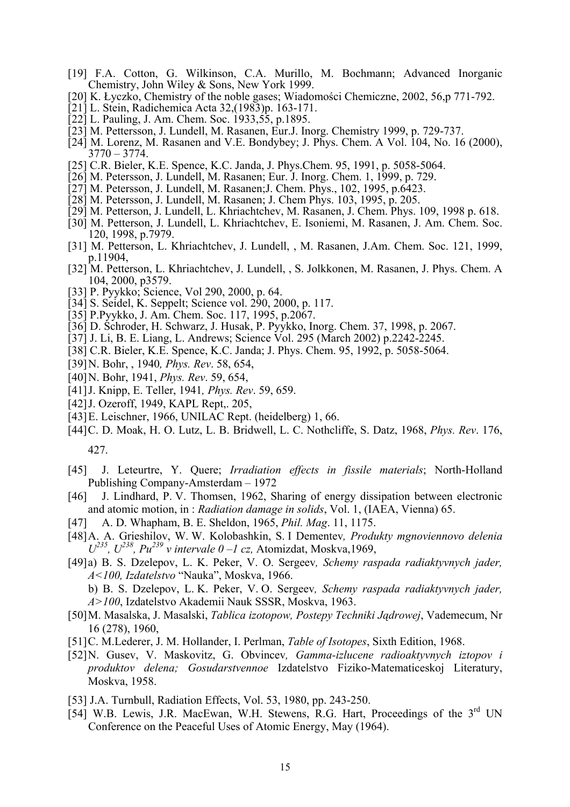- [19] F.A. Cotton, G. Wilkinson, C.A. Murillo, M. Bochmann; Advanced Inorganic Chemistry, John Wiley & Sons, New York 1999.
- [20] K. Łyczko, Chemistry of the noble gases; Wiadomości Chemiczne, 2002, 56,p 771-792.
- [21] L. Stein, Radichemica Acta 32,(1983)p. 163-171.
- [22] L. Pauling, J. Am. Chem. Soc. 1933,55, p.1895.
- [23] M. Pettersson, J. Lundell, M. Rasanen, Eur.J. Inorg. Chemistry 1999, p. 729-737.
- [24] M. Lorenz, M. Rasanen and V.E. Bondybey; J. Phys. Chem. A Vol. 104, No. 16 (2000), 3770 – 3774.
- [25] C.R. Bieler, K.E. Spence, K.C. Janda, J. Phys.Chem. 95, 1991, p. 5058-5064.
- [26] M. Petersson, J. Lundell, M. Rasanen; Eur. J. Inorg. Chem. 1, 1999, p. 729.
- [27] M. Petersson, J. Lundell, M. Rasanen;J. Chem. Phys., 102, 1995, p.6423.
- [28] M. Petersson, J. Lundell, M. Rasanen; J. Chem Phys. 103, 1995, p. 205.
- [29] M. Petterson, J. Lundell, L. Khriachtchev, M. Rasanen, J. Chem. Phys. 109, 1998 p. 618.
- [30] M. Petterson, J. Lundell, L. Khriachtchev, E. Isoniemi, M. Rasanen, J. Am. Chem. Soc. 120, 1998, p.7979.
- [31] M. Petterson, L. Khriachtchev, J. Lundell, , M. Rasanen, J.Am. Chem. Soc. 121, 1999, p.11904,
- [32] M. Petterson, L. Khriachtchev, J. Lundell, , S. Jolkkonen, M. Rasanen, J. Phys. Chem. A 104, 2000, p3579.
- [33] P. Pyykko; Science, Vol 290, 2000, p. 64.
- [34] S. Seidel, K. Seppelt; Science vol. 290, 2000, p. 117.
- [35] P.Pyykko, J. Am. Chem. Soc. 117, 1995, p.2067.
- [36] D. Schroder, H. Schwarz, J. Husak, P. Pyykko, Inorg. Chem. 37, 1998, p. 2067.
- [37] J. Li, B. E. Liang, L. Andrews; Science Vol. 295 (March 2002) p.2242-2245.
- [38] C.R. Bieler, K.E. Spence, K.C. Janda; J. Phys. Chem. 95, 1992, p. 5058-5064.
- [39]N. Bohr, , 1940*, Phys. Rev*. 58, 654,
- [40]N. Bohr, 1941, *Phys. Rev*. 59, 654,
- [41]J. Knipp, E. Teller, 1941*, Phys. Rev*. 59, 659.
- [42] J. Ozeroff, 1949, KAPL Rept., 205,
- [43]E. Leischner, 1966, UNILAC Rept. (heidelberg) 1, 66.
- [44]C. D. Moak, H. O. Lutz, L. B. Bridwell, L. C. Nothcliffe, S. Datz, 1968, *Phys. Rev*. 176,

427.

- [45] J. Leteurtre, Y. Quere; *Irradiation effects in fissile materials*; North-Holland Publishing Company-Amsterdam – 1972
- [46] J. Lindhard, P. V. Thomsen, 1962, Sharing of energy dissipation between electronic and atomic motion, in : *Radiation damage in solids*, Vol. 1, (IAEA, Vienna) 65.
- [47] A. D. Whapham, B. E. Sheldon, 1965, *Phil. Mag*. 11, 1175.
- [48]A. A. Grieshilov, W. W. Kolobashkin, S. I Dementev*, Produkty mgnoviennovo delenia*  $U^{235}$ ,  $U^{238}$ ,  $Pu^{239}$  v intervale  $0-l$  cz, Atomizdat, Moskva, 1969,
- [49]a) B. S. Dzelepov, L. K. Peker, V. O. Sergeev*, Schemy raspada radiaktyvnych jader, A<100, Izdatelstvo* "Nauka", Moskva, 1966.

b) B. S. Dzelepov, L. K. Peker, V. O. Sergeev*, Schemy raspada radiaktyvnych jader, A>100*, Izdatelstvo Akademii Nauk SSSR, Moskva, 1963.

- [50]M. Masalska, J. Masalski, *Tablica izotopow, Postepy Techniki Jądrowej*, Vademecum, Nr 16 (278), 1960,
- [51]C. M.Lederer, J. M. Hollander, I. Perlman, *Table of Isotopes*, Sixth Edition, 1968.
- [52]N. Gusev, V. Maskovitz, G. Obvincev*, Gamma-izlucene radioaktyvnych iztopov i produktov delena; Gosudarstvennoe* Izdatelstvo Fiziko-Matematiceskoj Literatury, Moskva, 1958.
- [53] J.A. Turnbull, Radiation Effects, Vol. 53, 1980, pp. 243-250.
- [54] W.B. Lewis, J.R. MacEwan, W.H. Stewens, R.G. Hart, Proceedings of the 3<sup>rd</sup> UN Conference on the Peaceful Uses of Atomic Energy, May (1964).